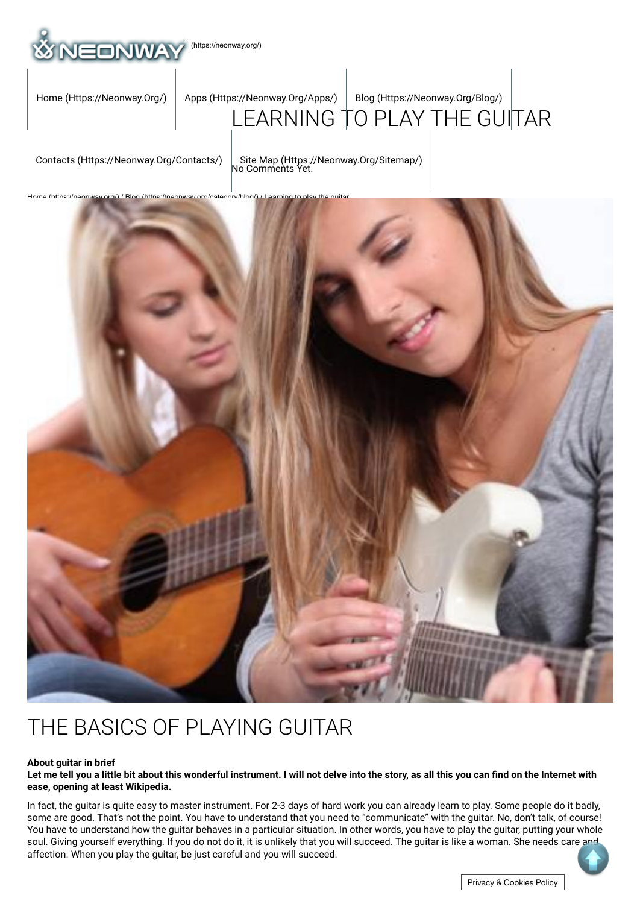

## [LEARNING](https://neonway.org/apps/) [TO PLAY THE GUI](https://neonway.org/blog/)TAR [Home \(Https://Neonway.Org/\)](https://neonway.org/) | Apps (Https://Neonway.Org/Apps/) | Blog (Https://Neonway.Org/Blog/)

[Contacts \(Https://Neonway.Org/Contacts/\)](https://neonway.org/contacts/) | [Site Map \(Https://Neonway.Org/Sitemap/\)](https://neonway.org/sitemap/)<br>No Comments Yet.



# THE BASICS OF PLAYING GUITAR

#### **About guitar in brief**

Let me tell you a little bit about this wonderful instrument. I will not delve into the story, as all this you can find on the Internet with **ease, opening at least Wikipedia.**

In fact, the guitar is quite easy to master instrument. For 2-3 days of hard work you can already learn to play. Some people do it badly, some are good. That's not the point. You have to understand that you need to "communicate" with the guitar. No, don't talk, of course! You have to understand how the guitar behaves in a particular situation. In other words, you have to play the guitar, putting your whole soul. Giving yourself everything. If you do not do it, it is unlikely that you will succeed. The guitar is like a woman. She needs care and affection. When you play the guitar, be just careful and you will succeed.

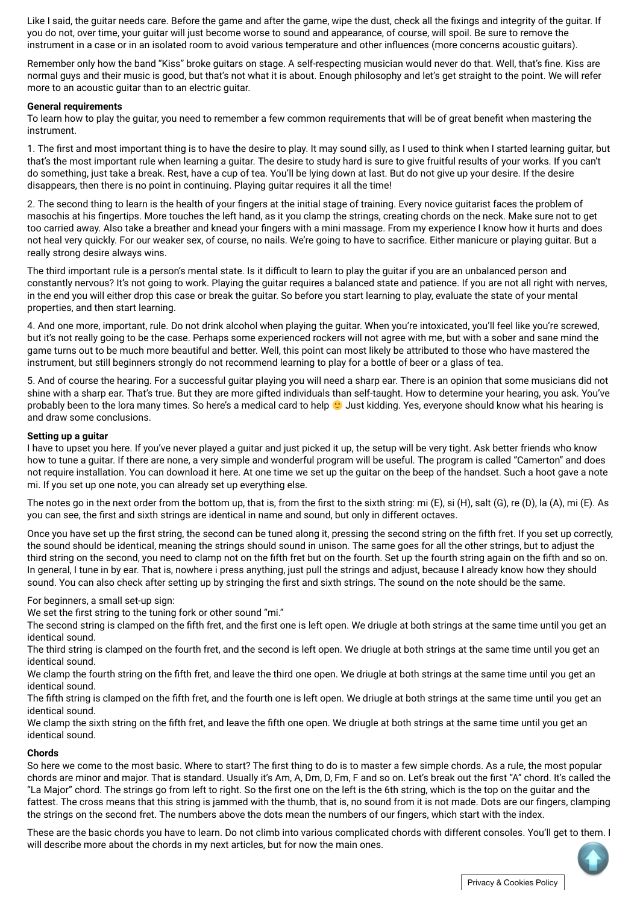Like I said, the guitar needs care. Before the game and after the game, wipe the dust, check all the fixings and integrity of the guitar. If you do not, over time, your guitar will just become worse to sound and appearance, of course, will spoil. Be sure to remove the instrument in a case or in an isolated room to avoid various temperature and other influences (more concerns acoustic guitars).

Remember only how the band "Kiss" broke quitars on stage. A self-respecting musician would never do that. Well, that's fine. Kiss are normal guys and their music is good, but that's not what it is about. Enough philosophy and let's get straight to the point. We will refer more to an acoustic quitar than to an electric quitar.

#### **General requirements**

To learn how to play the quitar, you need to remember a few common requirements that will be of great benefit when mastering the instrument.

1. The first and most important thing is to have the desire to play. It may sound silly, as I used to think when I started learning quitar, but that's the most important rule when learning a guitar. The desire to study hard is sure to give fruitful results of your works. If you can't do something, just take a break. Rest, have a cup of tea. You'll be lying down at last. But do not give up your desire. If the desire disappears, then there is no point in continuing. Playing guitar requires it all the time!

2. The second thing to learn is the health of your fingers at the initial stage of training. Every novice quitarist faces the problem of masochis at his fingertips. More touches the left hand, as it you clamp the strings, creating chords on the neck. Make sure not to get too carried away. Also take a breather and knead your fingers with a mini massage. From my experience I know how it hurts and does not heal very quickly. For our weaker sex, of course, no nails. We're going to have to sacrifice. Either manicure or playing quitar. But a really strong desire always wins.

The third important rule is a person's mental state. Is it difficult to learn to play the quitar if you are an unbalanced person and constantly nervous? It's not going to work. Playing the guitar requires a balanced state and patience. If you are not all right with nerves, in the end you will either drop this case or break the guitar. So before you start learning to play, evaluate the state of your mental properties, and then start learning.

4. And one more, important, rule. Do not drink alcohol when playing the guitar. When you're intoxicated, you'll feel like you're screwed, but it's not really going to be the case. Perhaps some experienced rockers will not agree with me, but with a sober and sane mind the game turns out to be much more beautiful and better. Well, this point can most likely be attributed to those who have mastered the instrument, but still beginners strongly do not recommend learning to play for a bottle of beer or a glass of tea.

5. And of course the hearing. For a successful guitar playing you will need a sharp ear. There is an opinion that some musicians did not shine with a sharp ear. That's true. But they are more gifted individuals than self-taught. How to determine your hearing, you ask. You've probably been to the lora many times. So here's a medical card to help **O** Just kidding. Yes, everyone should know what his hearing is and draw some conclusions.

#### **Setting up a guitar**

I have to upset you here. If you've never played a guitar and just picked it up, the setup will be very tight. Ask better friends who know how to tune a guitar. If there are none, a very simple and wonderful program will be useful. The program is called "Camerton" and does not require installation. You can download it here. At one time we set up the guitar on the beep of the handset. Such a hoot gave a note mi. If you set up one note, you can already set up everything else.

The notes go in the next order from the bottom up, that is, from the first to the sixth string: mi (E), si (H), salt (G), re (D), la (A), mi (E). As you can see, the first and sixth strings are identical in name and sound, but only in different octaves.

Once you have set up the first string, the second can be tuned along it, pressing the second string on the fifth fret. If you set up correctly, the sound should be identical, meaning the strings should sound in unison. The same goes for all the other strings, but to adjust the third string on the second, you need to clamp not on the fifth fret but on the fourth. Set up the fourth string again on the fifth and so on. In general, I tune in by ear. That is, nowhere i press anything, just pull the strings and adjust, because I already know how they should sound. You can also check after setting up by stringing the first and sixth strings. The sound on the note should be the same.

#### For beginners, a small set-up sign:

We set the first string to the tuning fork or other sound "mi."

The second string is clamped on the fifth fret, and the first one is left open. We driugle at both strings at the same time until you get an identical sound.

The third string is clamped on the fourth fret, and the second is left open. We driugle at both strings at the same time until you get an identical sound.

We clamp the fourth string on the fifth fret, and leave the third one open. We driugle at both strings at the same time until you get an identical sound.

The fifth string is clamped on the fifth fret, and the fourth one is left open. We driugle at both strings at the same time until you get an identical sound.

We clamp the sixth string on the fifth fret, and leave the fifth one open. We driugle at both strings at the same time until you get an identical sound.

#### **Chords**

So here we come to the most basic. Where to start? The first thing to do is to master a few simple chords. As a rule, the most popular chords are minor and major. That is standard. Usually it's Am, A, Dm, D, Fm, F and so on. Let's break out the first "A" chord. It's called the "La Major" chord. The strings go from left to right. So the first one on the left is the 6th string, which is the top on the guitar and the fattest. The cross means that this string is jammed with the thumb, that is, no sound from it is not made. Dots are our fingers, clamping the strings on the second fret. The numbers above the dots mean the numbers of our fingers, which start with the index.

These are the basic chords you have to learn. Do not climb into various complicated chords with different consoles. You'll get to them. I will describe more about the chords in my next articles, but for now the main ones.